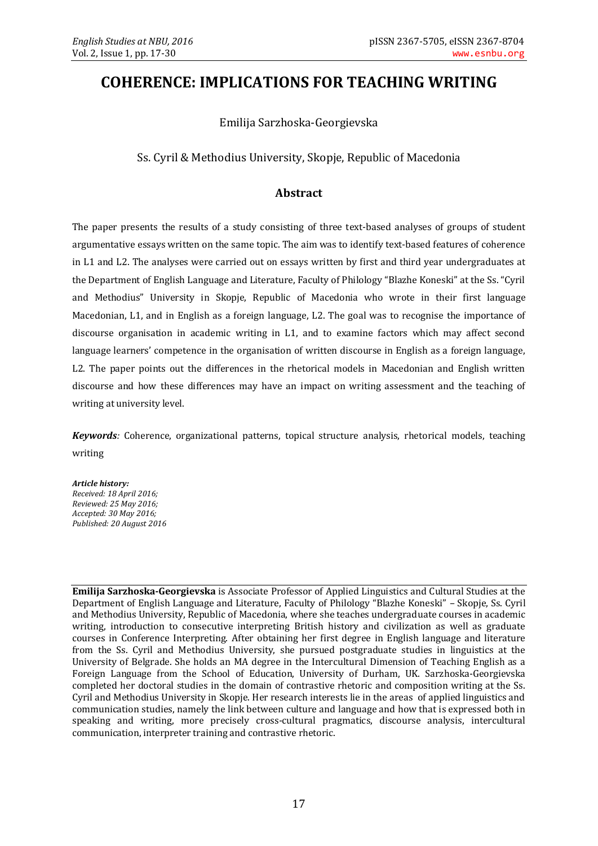# **COHERENCE: IMPLICATIONS FOR TEACHING WRITING**

Emilija Sarzhoska-Georgievska

Ss. Cyril & Methodius University, Skopje, Republic of Macedonia

# **Abstract**

The paper presents the results of a study consisting of three text-based analyses of groups of student argumentative essays written on the same topic. The aim was to identify text-based features of coherence in L1 and L2. The analyses were carried out on essays written by first and third year undergraduates at the Department of English Language and Literature, Faculty of Philology "Blazhe Koneski" at the Ss. "Cyril and Methodius" University in Skopje, Republic of Macedonia who wrote in their first language Macedonian, L1, and in English as a foreign language, L2. The goal was to recognise the importance of discourse organisation in academic writing in L1, and to examine factors which may affect second language learners' competence in the organisation of written discourse in English as a foreign language, L2. The paper points out the differences in the rhetorical models in Macedonian and English written discourse and how these differences may have an impact on writing assessment and the teaching of writing at university level.

*Keywords:* Coherence, organizational patterns, topical structure analysis, rhetorical models, teaching writing

*Article history: Received: 18 April 2016; Reviewed: 25 May 2016; Accepted: 30 May 2016; Published: 20 August 2016*

**Emilija Sarzhoska-Georgievska** is Associate Professor of Applied Linguistics and Cultural Studies at the Department of English Language and Literature, Faculty of Philology "Blazhe Koneski" – Skopje, Ss. Cyril and Methodius University, Republic of Macedonia, where she teaches undergraduate courses in academic writing, introduction to consecutive interpreting British history and civilization as well as graduate courses in Conference Interpreting. After obtaining her first degree in English language and literature from the Ss. Cyril and Methodius University, she pursued postgraduate studies in linguistics at the University of Belgrade. She holds an MA degree in the Intercultural Dimension of Teaching English as a Foreign Language from the School of Education, University of Durham, UK. Sarzhoska-Georgievska completed her doctoral studies in the domain of contrastive rhetoric and composition writing at the Ss. Cyril and Methodius University in Skopje. Her research interests lie in the areas of applied linguistics and communication studies, namely the link between culture and language and how that is expressed both in speaking and writing, more precisely cross-cultural pragmatics, discourse analysis, intercultural communication, interpreter training and contrastive rhetoric.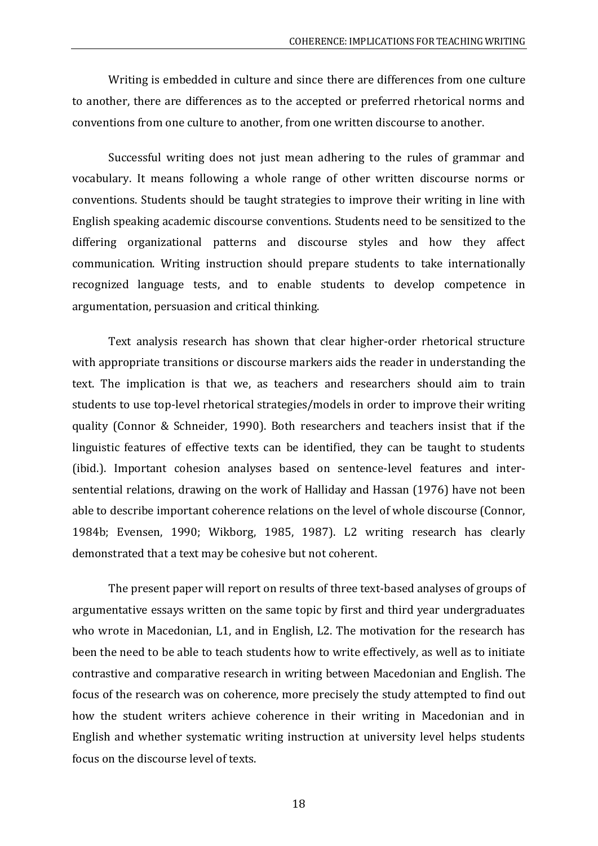Writing is embedded in culture and since there are differences from one culture to another, there are differences as to the accepted or preferred rhetorical norms and conventions from one culture to another, from one written discourse to another.

Successful writing does not just mean adhering to the rules of grammar and vocabulary. It means following a whole range of other written discourse norms or conventions. Students should be taught strategies to improve their writing in line with English speaking academic discourse conventions. Students need to be sensitized to the differing organizational patterns and discourse styles and how they affect communication. Writing instruction should prepare students to take internationally recognized language tests, and to enable students to develop competence in argumentation, persuasion and critical thinking.

Text analysis research has shown that clear higher-order rhetorical structure with appropriate transitions or discourse markers aids the reader in understanding the text. The implication is that we, as teachers and researchers should aim to train students to use top-level rhetorical strategies/models in order to improve their writing quality (Connor & Schneider, 1990). Both researchers and teachers insist that if the linguistic features of effective texts can be identified, they can be taught to students (ibid.). Important cohesion analyses based on sentence-level features and intersentential relations, drawing on the work of Halliday and Hassan (1976) have not been able to describe important coherence relations on the level of whole discourse (Connor, 1984b; Evensen, 1990; Wikborg, 1985, 1987). L2 writing research has clearly demonstrated that a text may be cohesive but not coherent.

The present paper will report on results of three text-based analyses of groups of argumentative essays written on the same topic by first and third year undergraduates who wrote in Macedonian, L1, and in English, L2. The motivation for the research has been the need to be able to teach students how to write effectively, as well as to initiate contrastive and comparative research in writing between Macedonian and English. The focus of the research was on coherence, more precisely the study attempted to find out how the student writers achieve coherence in their writing in Macedonian and in English and whether systematic writing instruction at university level helps students focus on the discourse level of texts.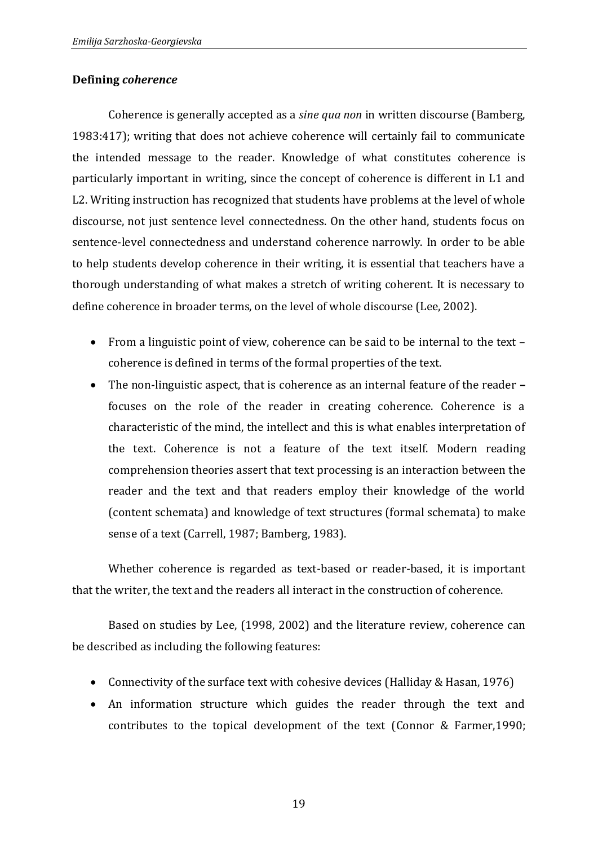## **Defining** *coherence*

Coherence is generally accepted as a *sine qua non* in written discourse (Bamberg, 1983:417); writing that does not achieve coherence will certainly fail to communicate the intended message to the reader. Knowledge of what constitutes coherence is particularly important in writing, since the concept of coherence is different in L1 and L2. Writing instruction has recognized that students have problems at the level of whole discourse, not just sentence level connectedness. On the other hand, students focus on sentence-level connectedness and understand coherence narrowly. In order to be able to help students develop coherence in their writing, it is essential that teachers have a thorough understanding of what makes a stretch of writing coherent. It is necessary to define coherence in broader terms, on the level of whole discourse (Lee, 2002).

- From a linguistic point of view, coherence can be said to be internal to the text coherence is defined in terms of the formal properties of the text.
- The non-linguistic aspect, that is coherence as an internal feature of the reader **–** focuses on the role of the reader in creating coherence. Coherence is a characteristic of the mind, the intellect and this is what enables interpretation of the text. Coherence is not a feature of the text itself. Modern reading comprehension theories assert that text processing is an interaction between the reader and the text and that readers employ their knowledge of the world (content schemata) and knowledge of text structures (formal schemata) to make sense of a text (Carrell, 1987; Bamberg, 1983).

Whether coherence is regarded as text-based or reader-based, it is important that the writer, the text and the readers all interact in the construction of coherence.

Based on studies by Lee, (1998, 2002) and the literature review, coherence can be described as including the following features:

- Connectivity of the surface text with cohesive devices (Halliday & Hasan, 1976)
- An information structure which guides the reader through the text and contributes to the topical development of the text (Connor & Farmer,1990;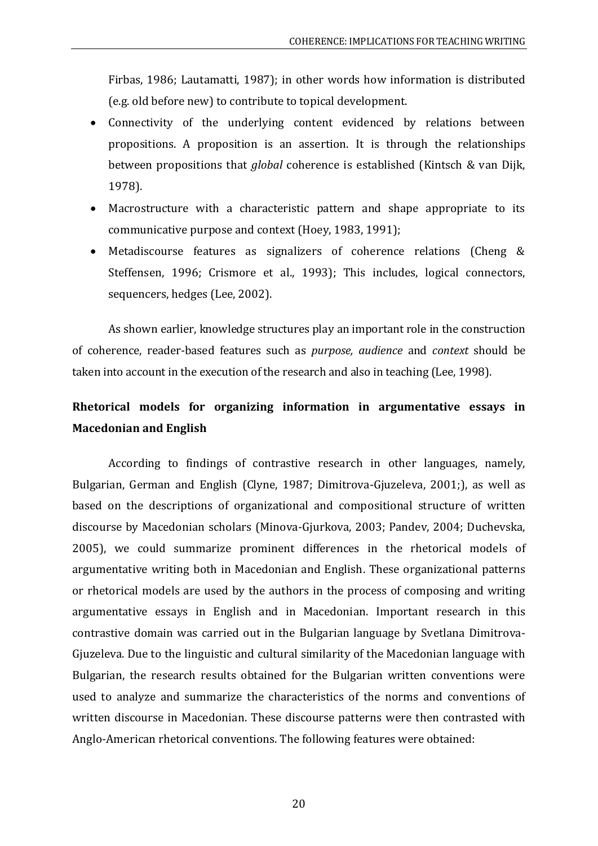Firbas, 1986; Lautamatti, 1987); in other words how information is distributed (e.g. old before new) to contribute to topical development.

- Connectivity of the underlying content evidenced by relations between propositions. A proposition is an assertion. It is through the relationships between propositions that *global* coherence is established (Kintsch & van Dijk, 1978).
- Macrostructure with a characteristic pattern and shape appropriate to its communicative purpose and context (Hoey, 1983, 1991);
- Metadiscourse features as signalizers of coherence relations (Cheng & Steffensen, 1996; Crismore et al., 1993); This includes, logical connectors, sequencers, hedges (Lee, 2002).

As shown earlier, knowledge structures play an important role in the construction of coherence, reader-based features such as *purpose, audience* and *context* should be taken into account in the execution of the research and also in teaching (Lee, 1998).

# **Rhetorical models for organizing information in argumentative essays in Macedonian and English**

According to findings of contrastive research in other languages, namely, Bulgarian, German and English (Clyne, 1987; Dimitrova-Gjuzeleva, 2001;), as well as based on the descriptions of organizational and compositional structure of written discourse by Macedonian scholars (Minova-Gjurkova, 2003; Pandev, 2004; Duchevska, 2005), we could summarize prominent differences in the rhetorical models of argumentative writing both in Macedonian and English. These organizational patterns or rhetorical models are used by the authors in the process of composing and writing argumentative essays in English and in Macedonian. Important research in this contrastive domain was carried out in the Bulgarian language by Svetlana Dimitrova-Gjuzeleva. Due to the linguistic and cultural similarity of the Macedonian language with Bulgarian, the research results obtained for the Bulgarian written conventions were used to analyze and summarize the characteristics of the norms and conventions of written discourse in Macedonian. These discourse patterns were then contrasted with Anglo-American rhetorical conventions. The following features were obtained: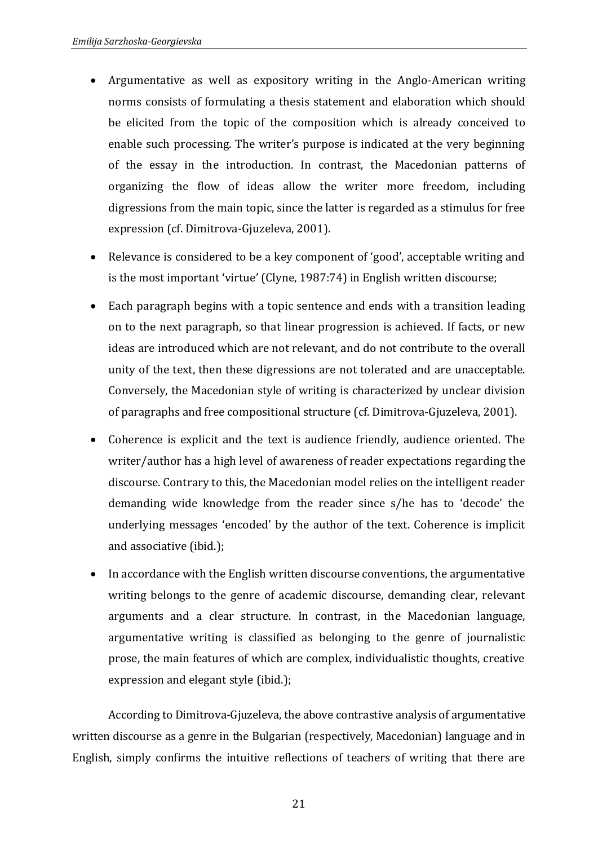- Argumentative as well as expository writing in the Anglo-American writing norms consists of formulating a thesis statement and elaboration which should be elicited from the topic of the composition which is already conceived to enable such processing. The writer's purpose is indicated at the very beginning of the essay in the introduction. In contrast, the Macedonian patterns of organizing the flow of ideas allow the writer more freedom, including digressions from the main topic, since the latter is regarded as a stimulus for free expression (cf. Dimitrova-Gjuzeleva, 2001).
- Relevance is considered to be a key component of 'good', acceptable writing and is the most important 'virtue' (Clyne, 1987:74) in English written discourse;
- Each paragraph begins with a topic sentence and ends with a transition leading on to the next paragraph, so that linear progression is achieved. If facts, or new ideas are introduced which are not relevant, and do not contribute to the overall unity of the text, then these digressions are not tolerated and are unacceptable. Conversely, the Macedonian style of writing is characterized by unclear division of paragraphs and free compositional structure (cf. Dimitrova-Gjuzeleva, 2001).
- Coherence is explicit and the text is audience friendly, audience oriented. The writer/author has a high level of awareness of reader expectations regarding the discourse. Contrary to this, the Macedonian model relies on the intelligent reader demanding wide knowledge from the reader since s/he has to 'decode' the underlying messages 'encoded' by the author of the text. Coherence is implicit and associative (ibid.);
- In accordance with the English written discourse conventions, the argumentative writing belongs to the genre of academic discourse, demanding clear, relevant arguments and a clear structure. In contrast, in the Macedonian language, argumentative writing is classified as belonging to the genre of journalistic prose, the main features of which are complex, individualistic thoughts, creative expression and elegant style (ibid.);

According to Dimitrova-Gjuzeleva, the above contrastive analysis of argumentative written discourse as a genre in the Bulgarian (respectively, Macedonian) language and in English, simply confirms the intuitive reflections of teachers of writing that there are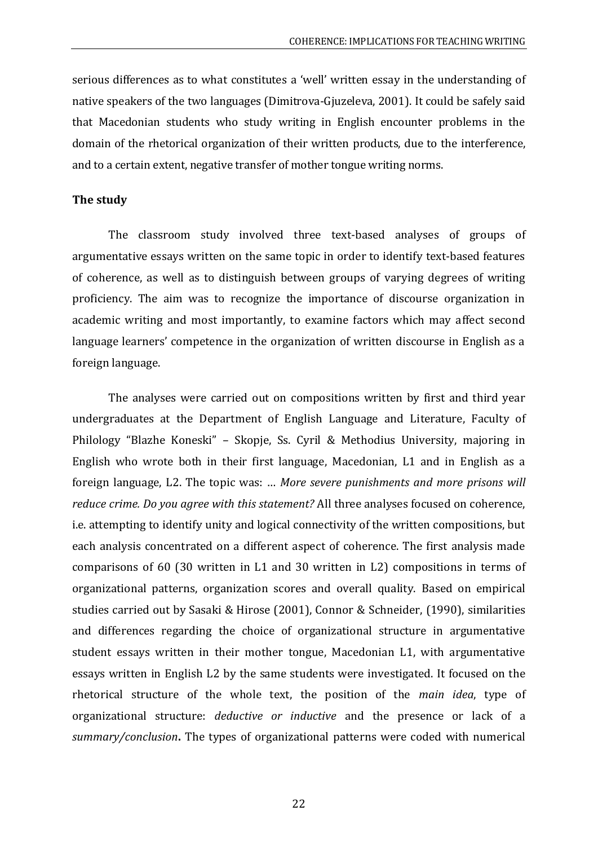serious differences as to what constitutes a 'well' written essay in the understanding of native speakers of the two languages (Dimitrova-Gjuzeleva, 2001). It could be safely said that Macedonian students who study writing in English encounter problems in the domain of the rhetorical organization of their written products, due to the interference, and to a certain extent, negative transfer of mother tongue writing norms.

#### **The study**

The classroom study involved three text-based analyses of groups of argumentative essays written on the same topic in order to identify text-based features of coherence, as well as to distinguish between groups of varying degrees of writing proficiency. The aim was to recognize the importance of discourse organization in academic writing and most importantly, to examine factors which may affect second language learners' competence in the organization of written discourse in English as a foreign language.

The analyses were carried out on compositions written by first and third year undergraduates at the Department of English Language and Literature, Faculty of Philology "Blazhe Koneski" – Skopje, Ss. Cyril & Methodius University, majoring in English who wrote both in their first language, Macedonian, L1 and in English as a foreign language, L2. The topic was: … *More severe punishments and more prisons will reduce crime. Do you agree with this statement?* All three analyses focused on coherence, i.e. attempting to identify unity and logical connectivity of the written compositions, but each analysis concentrated on a different aspect of coherence. The first analysis made comparisons of 60 (30 written in L1 and 30 written in L2) compositions in terms of organizational patterns, organization scores and overall quality. Based on empirical studies carried out by Sasaki & Hirose (2001), Connor & Schneider, (1990), similarities and differences regarding the choice of organizational structure in argumentative student essays written in their mother tongue, Macedonian L1, with argumentative essays written in English L2 by the same students were investigated. It focused on the rhetorical structure of the whole text, the position of the *main idea*, type of organizational structure: *deductive or inductive* and the presence or lack of a *summary/conclusion***.** The types of organizational patterns were coded with numerical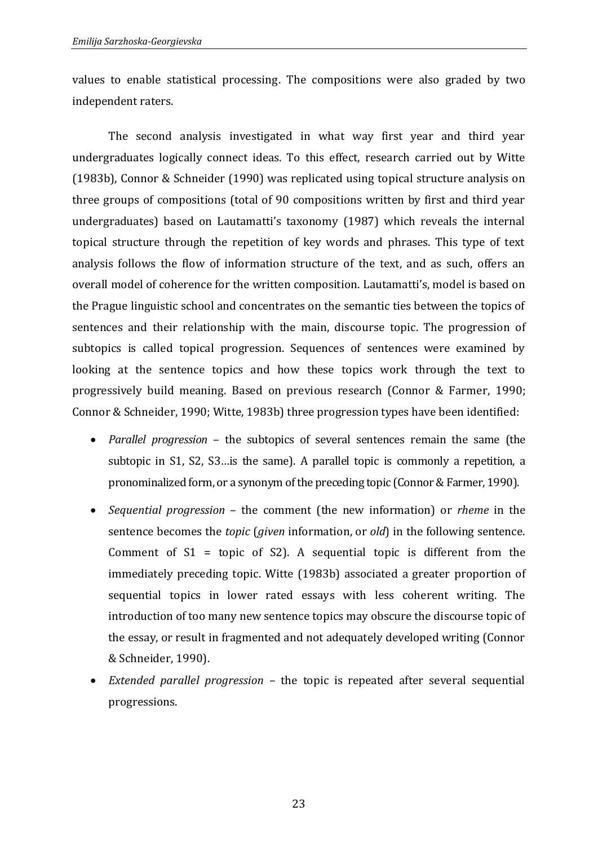values to enable statistical processing. The compositions were also graded by two independent raters.

The second analysis investigated in what way first year and third year undergraduates logically connect ideas. To this effect, research carried out by Witte (1983b), Connor & Schneider (1990) was replicated using topical structure analysis on three groups of compositions (total of 90 compositions written by first and third year undergraduates) based on Lautamatti's taxonomy (1987) which reveals the internal topical structure through the repetition of key words and phrases. This type of text analysis follows the flow of information structure of the text, and as such, offers an overall model of coherence for the written composition. Lautamatti's, model is based on the Prague linguistic school and concentrates on the semantic ties between the topics of sentences and their relationship with the main, discourse topic. The progression of subtopics is called topical progression. Sequences of sentences were examined by looking at the sentence topics and how these topics work through the text to progressively build meaning. Based on previous research (Connor & Farmer, 1990; Connor & Schneider, 1990; Witte, 1983b) three progression types have been identified:

- *Parallel progression* the subtopics of several sentences remain the same (the subtopic in S1, S2, S3…is the same). A parallel topic is commonly a repetition, a pronominalized form, or a synonym of the preceding topic (Connor & Farmer, 1990).
- *Sequential progression* the comment (the new information) or *rheme* in the sentence becomes the *topic* (*given* information, or *old*) in the following sentence. Comment of  $S1 = \text{topic}$  of  $S2$ ). A sequential topic is different from the immediately preceding topic. Witte (1983b) associated a greater proportion of sequential topics in lower rated essays with less coherent writing. The introduction of too many new sentence topics may obscure the discourse topic of the essay, or result in fragmented and not adequately developed writing (Connor & Schneider, 1990).
- *Extended parallel progression* the topic is repeated after several sequential progressions.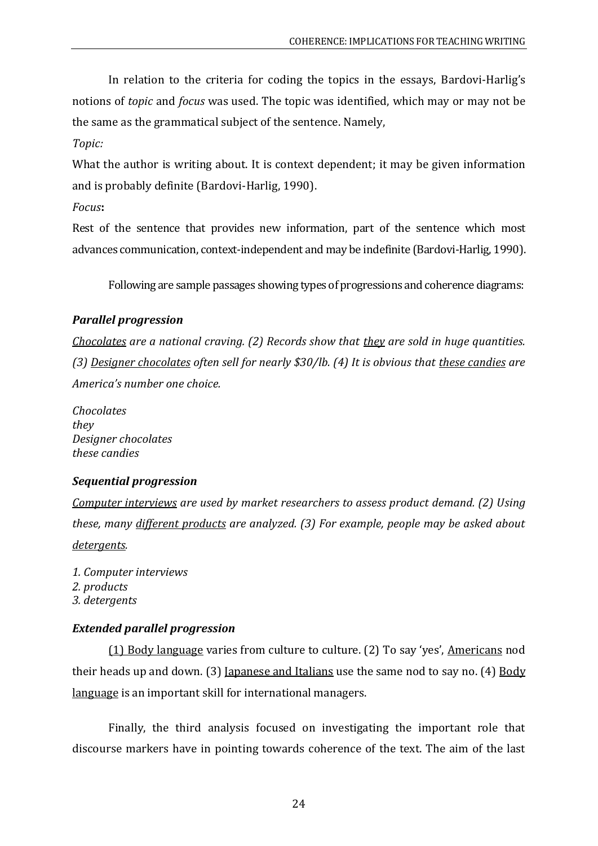In relation to the criteria for coding the topics in the essays, Bardovi-Harlig's notions of *topic* and *focus* was used. The topic was identified, which may or may not be the same as the grammatical subject of the sentence. Namely,

# *Topic:*

What the author is writing about. It is context dependent; it may be given information and is probably definite (Bardovi-Harlig, 1990).

*Focus***:**

Rest of the sentence that provides new information, part of the sentence which most advances communication, context-independent and may be indefinite (Bardovi-Harlig, 1990).

Following are sample passages showing types of progressions and coherence diagrams:

# *Parallel progression*

*Chocolates are a national craving. (2) Records show that they are sold in huge quantities. (3) Designer chocolates often sell for nearly \$30/lb. (4) It is obvious that these candies are America's number one choice.*

*Chocolates they Designer chocolates these candies*

# *Sequential progression*

*Computer interviews are used by market researchers to assess product demand. (2) Using these, many different products are analyzed. (3) For example, people may be asked about detergents.*

*1. Computer interviews 2. products 3. detergents*

## *Extended parallel progression*

(1) Body language varies from culture to culture. (2) To say 'yes', Americans nod their heads up and down. (3) Japanese and Italians use the same nod to say no. (4) Body language is an important skill for international managers.

Finally, the third analysis focused on investigating the important role that discourse markers have in pointing towards coherence of the text. The aim of the last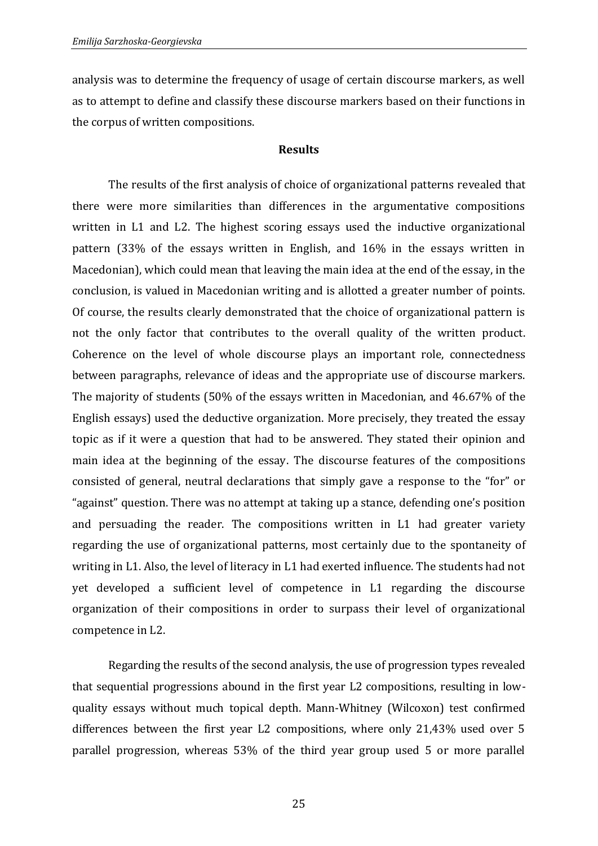analysis was to determine the frequency of usage of certain discourse markers, as well as to attempt to define and classify these discourse markers based on their functions in the corpus of written compositions.

#### **Results**

The results of the first analysis of choice of organizational patterns revealed that there were more similarities than differences in the argumentative compositions written in L1 and L2. The highest scoring essays used the inductive organizational pattern (33% of the essays written in English, and 16% in the essays written in Macedonian), which could mean that leaving the main idea at the end of the essay, in the conclusion, is valued in Macedonian writing and is allotted a greater number of points. Of course, the results clearly demonstrated that the choice of organizational pattern is not the only factor that contributes to the overall quality of the written product. Coherence on the level of whole discourse plays an important role, connectedness between paragraphs, relevance of ideas and the appropriate use of discourse markers. The majority of students (50% of the essays written in Macedonian, and 46.67% of the English essays) used the deductive organization. More precisely, they treated the essay topic as if it were a question that had to be answered. They stated their opinion and main idea at the beginning of the essay. The discourse features of the compositions consisted of general, neutral declarations that simply gave a response to the "for" or "against" question. There was no attempt at taking up a stance, defending one's position and persuading the reader. The compositions written in L1 had greater variety regarding the use of organizational patterns, most certainly due to the spontaneity of writing in L1. Also, the level of literacy in L1 had exerted influence. The students had not yet developed a sufficient level of competence in L1 regarding the discourse organization of their compositions in order to surpass their level of organizational competence in L2.

Regarding the results of the second analysis, the use of progression types revealed that sequential progressions abound in the first year L2 compositions, resulting in lowquality essays without much topical depth. Mann-Whitney (Wilcoxon) test confirmed differences between the first year L2 compositions, where only 21,43% used over 5 parallel progression, whereas 53% of the third year group used 5 or more parallel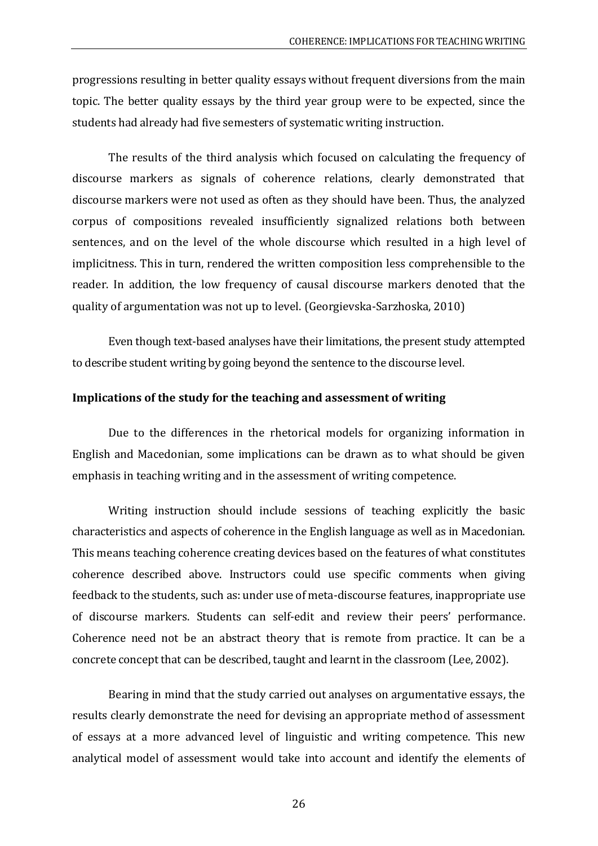progressions resulting in better quality essays without frequent diversions from the main topic. The better quality essays by the third year group were to be expected, since the students had already had five semesters of systematic writing instruction.

The results of the third analysis which focused on calculating the frequency of discourse markers as signals of coherence relations, clearly demonstrated that discourse markers were not used as often as they should have been. Thus, the analyzed corpus of compositions revealed insufficiently signalized relations both between sentences, and on the level of the whole discourse which resulted in a high level of implicitness. This in turn, rendered the written composition less comprehensible to the reader. In addition, the low frequency of causal discourse markers denoted that the quality of argumentation was not up to level. (Georgievska-Sarzhoska, 2010)

Even though text-based analyses have their limitations, the present study attempted to describe student writing by going beyond the sentence to the discourse level.

### **Implications of the study for the teaching and assessment of writing**

Due to the differences in the rhetorical models for organizing information in English and Macedonian, some implications can be drawn as to what should be given emphasis in teaching writing and in the assessment of writing competence.

Writing instruction should include sessions of teaching explicitly the basic characteristics and aspects of coherence in the English language as well as in Macedonian. This means teaching coherence creating devices based on the features of what constitutes coherence described above. Instructors could use specific comments when giving feedback to the students, such as: under use of meta-discourse features, inappropriate use of discourse markers. Students can self-edit and review their peers' performance. Coherence need not be an abstract theory that is remote from practice. It can be a concrete concept that can be described, taught and learnt in the classroom (Lee, 2002).

Bearing in mind that the study carried out analyses on argumentative essays, the results clearly demonstrate the need for devising an appropriate method of assessment of essays at a more advanced level of linguistic and writing competence. This new analytical model of assessment would take into account and identify the elements of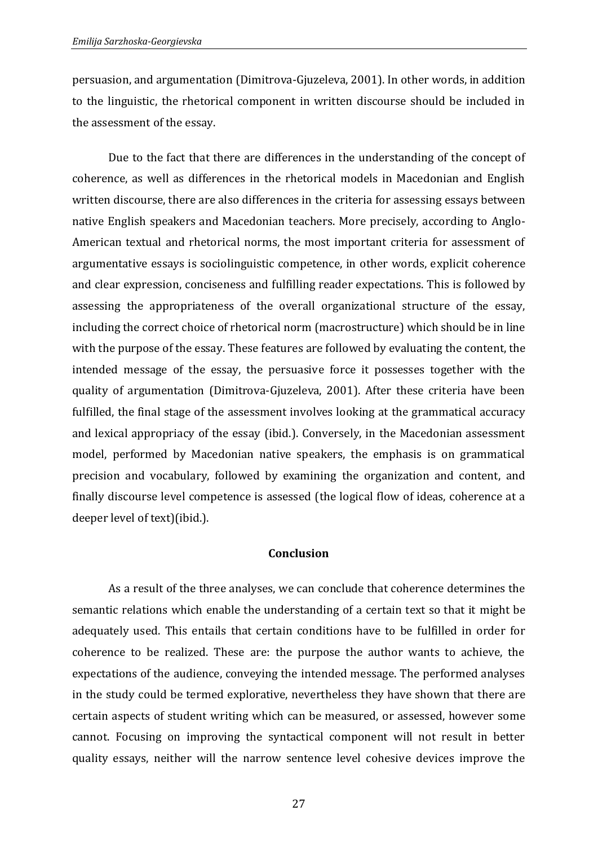persuasion, and argumentation (Dimitrova-Gjuzeleva, 2001). In other words, in addition to the linguistic, the rhetorical component in written discourse should be included in the assessment of the essay.

Due to the fact that there are differences in the understanding of the concept of coherence, as well as differences in the rhetorical models in Macedonian and English written discourse, there are also differences in the criteria for assessing essays between native English speakers and Macedonian teachers. More precisely, according to Anglo-American textual and rhetorical norms, the most important criteria for assessment of argumentative essays is sociolinguistic competence, in other words, explicit coherence and clear expression, conciseness and fulfilling reader expectations. This is followed by assessing the appropriateness of the overall organizational structure of the essay, including the correct choice of rhetorical norm (macrostructure) which should be in line with the purpose of the essay. These features are followed by evaluating the content, the intended message of the essay, the persuasive force it possesses together with the quality of argumentation (Dimitrova-Gjuzeleva, 2001). After these criteria have been fulfilled, the final stage of the assessment involves looking at the grammatical accuracy and lexical appropriacy of the essay (ibid.). Conversely, in the Macedonian assessment model, performed by Macedonian native speakers, the emphasis is on grammatical precision and vocabulary, followed by examining the organization and content, and finally discourse level competence is assessed (the logical flow of ideas, coherence at a deeper level of text)(ibid.).

#### **Conclusion**

As a result of the three analyses, we can conclude that coherence determines the semantic relations which enable the understanding of a certain text so that it might be adequately used. This entails that certain conditions have to be fulfilled in order for coherence to be realized. These are: the purpose the author wants to achieve, the expectations of the audience, conveying the intended message. The performed analyses in the study could be termed explorative, nevertheless they have shown that there are certain aspects of student writing which can be measured, or assessed, however some cannot. Focusing on improving the syntactical component will not result in better quality essays, neither will the narrow sentence level cohesive devices improve the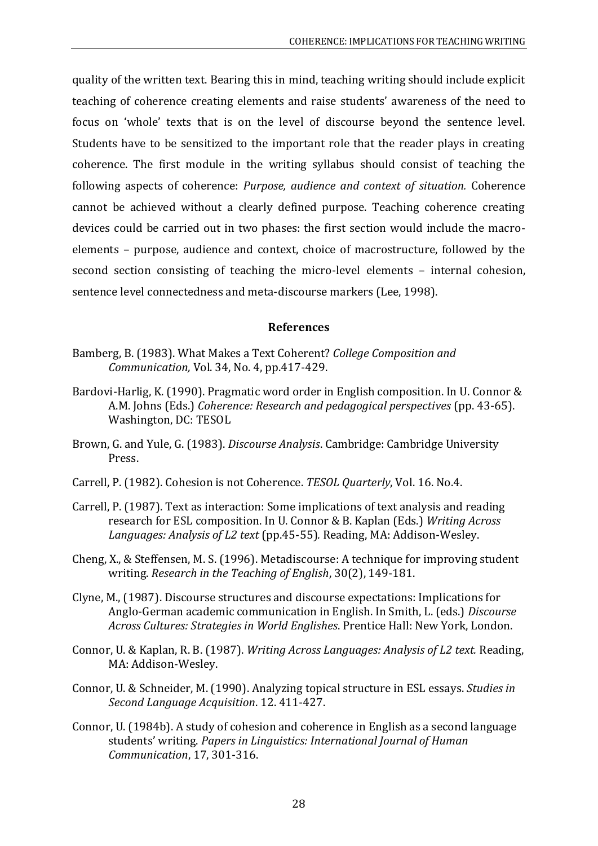quality of the written text. Bearing this in mind, teaching writing should include explicit teaching of coherence creating elements and raise students' awareness of the need to focus on 'whole' texts that is on the level of discourse beyond the sentence level. Students have to be sensitized to the important role that the reader plays in creating coherence. The first module in the writing syllabus should consist of teaching the following aspects of coherence: *Purpose, audience and context of situation.* Coherence cannot be achieved without a clearly defined purpose. Teaching coherence creating devices could be carried out in two phases: the first section would include the macroelements – purpose, audience and context, choice of macrostructure, followed by the second section consisting of teaching the micro-level elements – internal cohesion, sentence level connectedness and meta-discourse markers (Lee, 1998).

### **References**

- Bamberg, B. (1983). What Makes a Text Coherent? *College Composition and Communication,* Vol. 34, No. 4, pp.417-429.
- Bardovi-Harlig, K. (1990). Pragmatic word order in English composition. In U. Connor & A.M. Johns (Eds.) *Coherence: Research and pedagogical perspectives* (pp. 43-65). Washington, DC: TESOL
- Brown, G. and Yule, G. (1983). *Discourse Analysis*. Cambridge: Cambridge University Press.
- Carrell, P. (1982). Cohesion is not Coherence. *TESOL Quarterly*, Vol. 16. No.4.
- Carrell, P. (1987). Text as interaction: Some implications of text analysis and reading research for ESL composition. In U. Connor & B. Kaplan (Eds.) *Writing Across Languages: Analysis of L2 text* (pp.45-55)*.* Reading, MA: Addison-Wesley.
- Cheng, X., & Steffensen, M. S. (1996). Metadiscourse: A technique for improving student writing. *Research in the Teaching of English*, 30(2), 149-181.
- Clyne, M., (1987). Discourse structures and discourse expectations: Implications for Anglo-German academic communication in English. In Smith, L. (eds.) *Discourse Across Cultures: Strategies in World Englishes*. Prentice Hall: New York, London.
- Connor, U. & Kaplan, R. B. (1987). *Writing Across Languages: Analysis of L2 text.* Reading, MA: Addison-Wesley.
- Connor, U. & Schneider, M. (1990). Analyzing topical structure in ESL essays. *Studies in Second Language Acquisition*. 12. 411-427.
- Connor, U. (1984b). A study of cohesion and coherence in English as a second language students' writing. *Papers in Linguistics: International Journal of Human Communication*, 17, 301-316.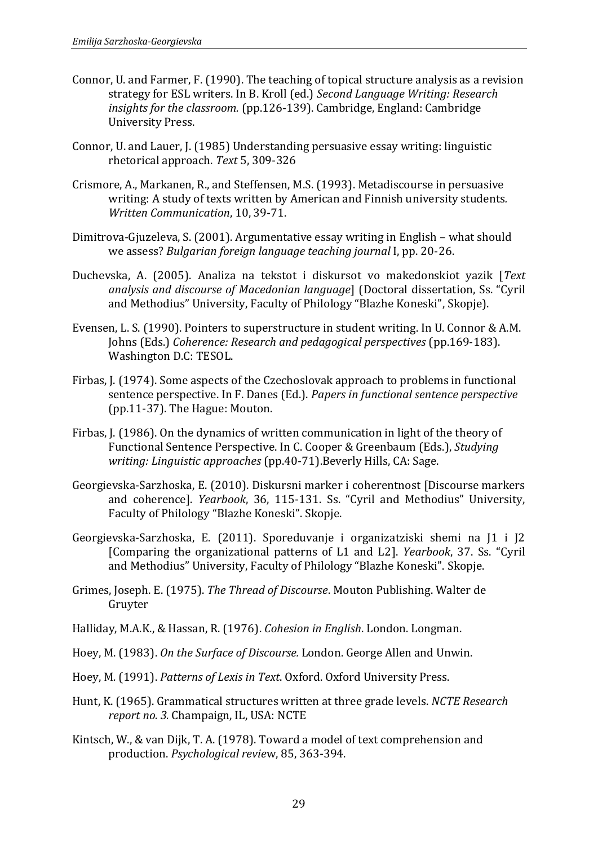- Connor, U. and Farmer, F. (1990). The teaching of topical structure analysis as a revision strategy for ESL writers. In B. Kroll (ed.) *Second Language Writing: Research insights for the classroom.* (pp.126-139). Cambridge, England: Cambridge University Press.
- Connor, U. and Lauer, J. (1985) Understanding persuasive essay writing: linguistic rhetorical approach. *Text* 5, 309-326
- Crismore, A., Markanen, R., and Steffensen, M.S. (1993). Metadiscourse in persuasive writing: A study of texts written by American and Finnish university students*. Written Communication*, 10, 39-71.
- Dimitrova-Gjuzeleva, S. (2001). Argumentative essay writing in English what should we assess? *Bulgarian foreign language teaching journal* I, pp. 20-26.
- Duchevska, A. (2005). Analiza na tekstot i diskursot vo makedonskiot yazik [*Text analysis and discourse of Macedonian language*] (Doctoral dissertation, Ss. "Cyril and Methodius" University, Faculty of Philology "Blazhe Koneski", Skopje).
- Evensen, L. S. (1990). Pointers to superstructure in student writing. In U. Connor & A.M. Johns (Eds.) *Coherence: Research and pedagogical perspectives* (pp.169-183). Washington D.C: TESOL.
- Firbas, J. (1974). Some aspects of the Czechoslovak approach to problems in functional sentence perspective. In F. Danes (Ed.). *Papers in functional sentence perspective* (pp.11-37). The Hague: Mouton.
- Firbas, J. (1986). On the dynamics of written communication in light of the theory of Functional Sentence Perspective. In C. Cooper & Greenbaum (Eds.), *Studying writing: Linguistic approaches* (pp.40-71).Beverly Hills, CA: Sage.
- Georgievska-Sarzhoska, Е. (2010). Diskursni marker i coherentnost [Discourse markers and coherence]. *Yearbook*, 36, 115-131. Ss. "Cyril and Methodius" University, Faculty of Philology "Blazhe Koneski". Skopje.
- Georgievska-Sarzhoska, Е. (2011). Sporeduvanje i organizatziski shemi na J1 i J2 [Comparing the organizational patterns of L1 and L2]. *Yearbook*, 37. Ss. "Cyril and Methodius" University, Faculty of Philology "Blazhe Koneski". Skopje.
- Grimes, Joseph. E. (1975). *The Thread of Discourse*. Mouton Publishing. Walter de Gruyter
- Halliday, M.A.K., & Hassan, R. (1976). *Cohesion in English*. London. Longman.
- Hoey, M. (1983). *On the Surface of Discourse.* London. George Allen and Unwin.
- Hoey, M*.* (1991). *Patterns of Lexis in Text*. Oxford. Oxford University Press.
- Hunt, K. (1965). Grammatical structures written at three grade levels. *NCTE Research report no. 3.* Champaign, IL, USA: NCTE
- Kintsch, W., & van Dijk, T. A. (1978). Toward a model of text comprehension and production. *Psychological revie*w, 85, 363-394.